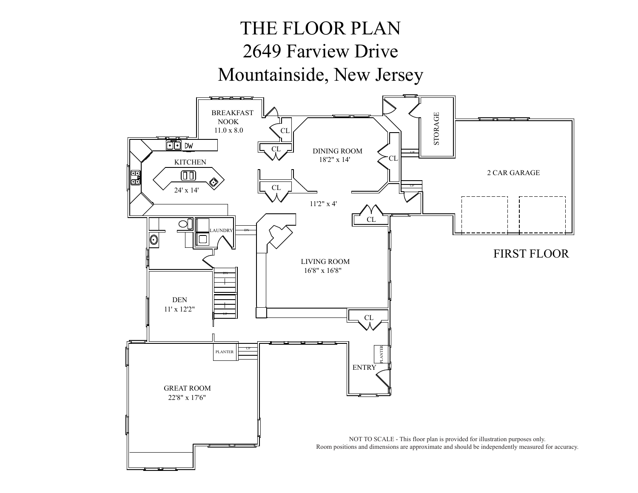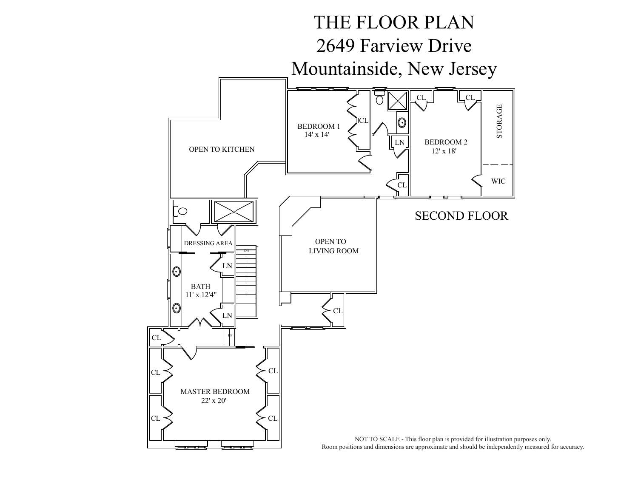